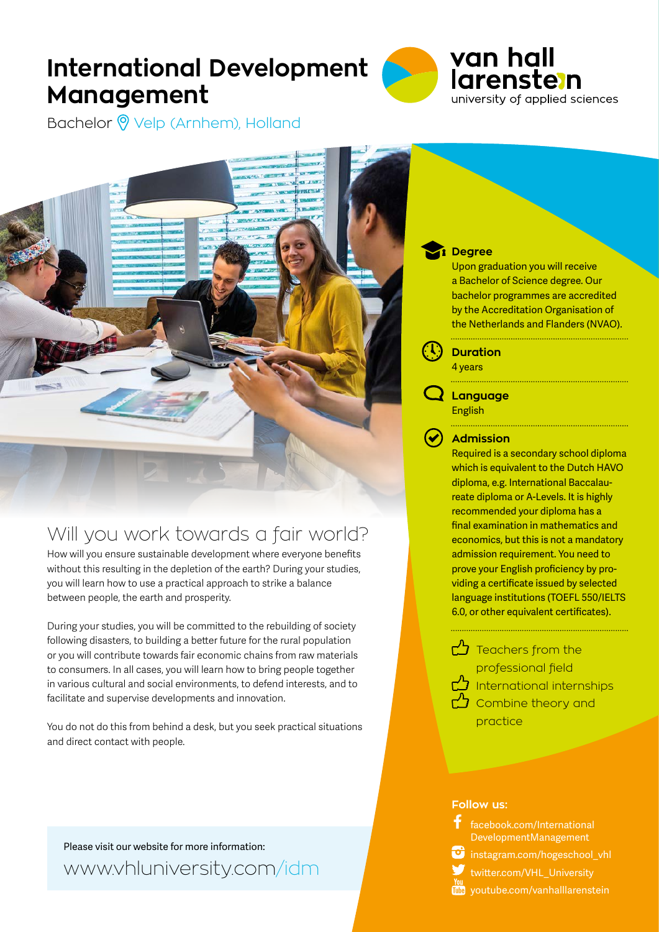# **International Development Management**



Bachelor <sup>o</sup> Velp (Arnhem), Holland

## Will you work towards a fair world?

How will you ensure sustainable development where everyone benefits without this resulting in the depletion of the earth? During your studies, you will learn how to use a practical approach to strike a balance between people, the earth and prosperity.

During your studies, you will be committed to the rebuilding of society following disasters, to building a better future for the rural population or you will contribute towards fair economic chains from raw materials to consumers. In all cases, you will learn how to bring people together in various cultural and social environments, to defend interests, and to facilitate and supervise developments and innovation.

You do not do this from behind a desk, but you seek practical situations and direct contact with people.

Please visit our website for more information: www.vhluniversity.com/idm

#### **Degree**

Upon graduation you will receive a Bachelor of Science degree. Our bachelor programmes are accredited by the Accreditation Organisation of the Netherlands and Flanders (NVAO).

**Duration** 4 years

**Language** English

### **Admission**

Required is a secondary school diploma which is equivalent to the Dutch HAVO diploma, e.g. International Baccalaureate diploma or A-Levels. It is highly recommended your diploma has a final examination in mathematics and economics, but this is not a mandatory admission requirement. You need to prove your English proficiency by providing a certificate issued by selected language institutions (TOEFL 550/IELTS 6.0, or other equivalent certificates).

 $\bigcirc$  Teachers from the professional field International internships  $\bigcirc$  Combine theory and practice

#### **Follow us:**



 $\bullet$  instagram.com/hogeschool\_vhl

twitter.com/VHL\_University

**THE** youtube.com/vanhalllarenstein